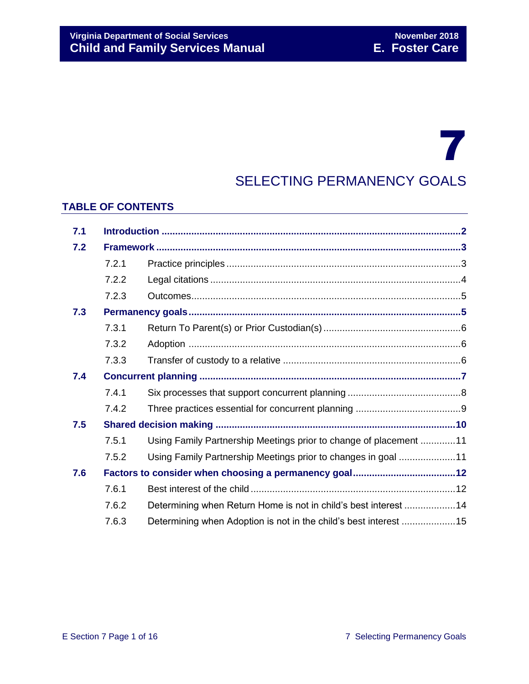# 7 SELECTING PERMANENCY GOALS

### **TABLE OF CONTENTS**

| 7.1 |       |                                                                   |  |
|-----|-------|-------------------------------------------------------------------|--|
| 7.2 |       |                                                                   |  |
|     | 7.2.1 |                                                                   |  |
|     | 7.2.2 |                                                                   |  |
|     | 7.2.3 |                                                                   |  |
| 7.3 |       |                                                                   |  |
|     | 7.3.1 |                                                                   |  |
|     | 7.3.2 |                                                                   |  |
|     | 7.3.3 |                                                                   |  |
| 7.4 |       |                                                                   |  |
|     | 7.4.1 |                                                                   |  |
|     | 7.4.2 |                                                                   |  |
| 7.5 |       |                                                                   |  |
|     | 7.5.1 | Using Family Partnership Meetings prior to change of placement 11 |  |
|     | 7.5.2 | Using Family Partnership Meetings prior to changes in goal 11     |  |
| 7.6 |       |                                                                   |  |
|     | 7.6.1 |                                                                   |  |
|     | 7.6.2 | Determining when Return Home is not in child's best interest 14   |  |
|     | 7.6.3 | Determining when Adoption is not in the child's best interest 15  |  |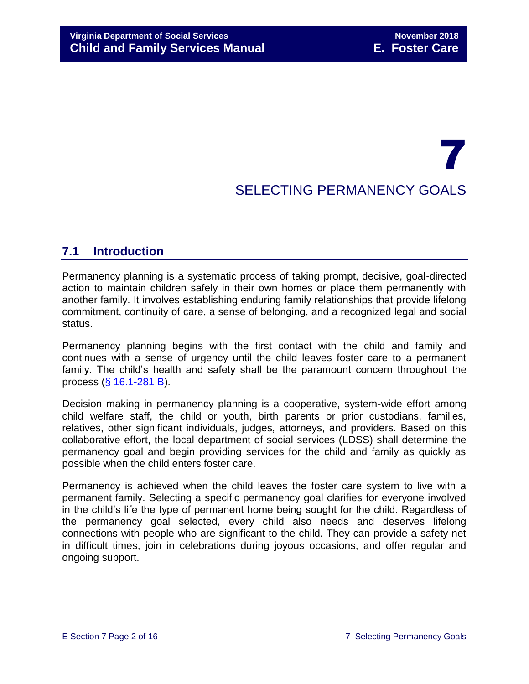## 7 SELECTING PERMANENCY GOALS

## <span id="page-1-0"></span>**7.1 Introduction**

Permanency planning is a systematic process of taking prompt, decisive, goal-directed action to maintain children safely in their own homes or place them permanently with another family. It involves establishing enduring family relationships that provide lifelong commitment, continuity of care, a sense of belonging, and a recognized legal and social status.

Permanency planning begins with the first contact with the child and family and continues with a sense of urgency until the child leaves foster care to a permanent family. The child's health and safety shall be the paramount concern throughout the process (§ [16.1-281 B\)](http://law.lis.virginia.gov/vacode/16.1-281/).

Decision making in permanency planning is a cooperative, system-wide effort among child welfare staff, the child or youth, birth parents or prior custodians, families, relatives, other significant individuals, judges, attorneys, and providers. Based on this collaborative effort, the local department of social services (LDSS) shall determine the permanency goal and begin providing services for the child and family as quickly as possible when the child enters foster care.

Permanency is achieved when the child leaves the foster care system to live with a permanent family. Selecting a specific permanency goal clarifies for everyone involved in the child's life the type of permanent home being sought for the child. Regardless of the permanency goal selected, every child also needs and deserves lifelong connections with people who are significant to the child. They can provide a safety net in difficult times, join in celebrations during joyous occasions, and offer regular and ongoing support.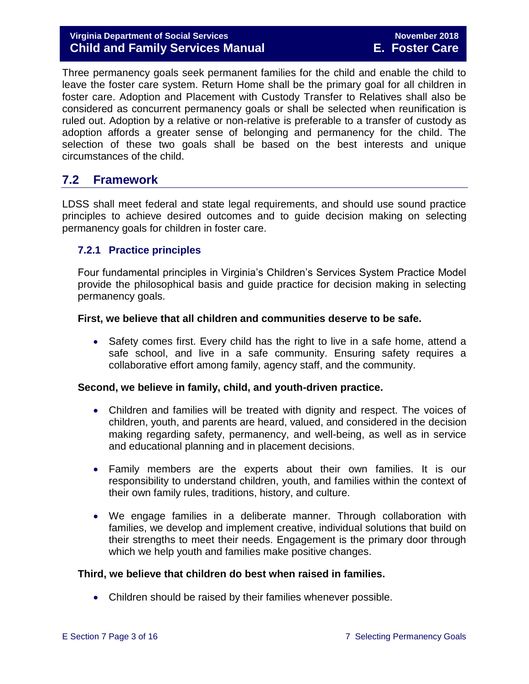#### **Virginia Department of Social Services November 2018 Child and Family Services Manual E. Foster Care**

Three permanency goals seek permanent families for the child and enable the child to leave the foster care system. Return Home shall be the primary goal for all children in foster care. Adoption and Placement with Custody Transfer to Relatives shall also be considered as concurrent permanency goals or shall be selected when reunification is ruled out. Adoption by a relative or non-relative is preferable to a transfer of custody as adoption affords a greater sense of belonging and permanency for the child. The selection of these two goals shall be based on the best interests and unique circumstances of the child.

## <span id="page-2-0"></span>**7.2 Framework**

LDSS shall meet federal and state legal requirements, and should use sound practice principles to achieve desired outcomes and to guide decision making on selecting permanency goals for children in foster care.

#### <span id="page-2-1"></span>**7.2.1 Practice principles**

Four fundamental principles in Virginia's Children's Services System Practice Model provide the philosophical basis and guide practice for decision making in selecting permanency goals.

#### **First, we believe that all children and communities deserve to be safe.**

• Safety comes first. Every child has the right to live in a safe home, attend a safe school, and live in a safe community. Ensuring safety requires a collaborative effort among family, agency staff, and the community.

#### **Second, we believe in family, child, and youth-driven practice.**

- Children and families will be treated with dignity and respect. The voices of children, youth, and parents are heard, valued, and considered in the decision making regarding safety, permanency, and well-being, as well as in service and educational planning and in placement decisions.
- Family members are the experts about their own families. It is our responsibility to understand children, youth, and families within the context of their own family rules, traditions, history, and culture.
- We engage families in a deliberate manner. Through collaboration with families, we develop and implement creative, individual solutions that build on their strengths to meet their needs. Engagement is the primary door through which we help youth and families make positive changes.

#### **Third, we believe that children do best when raised in families.**

• Children should be raised by their families whenever possible.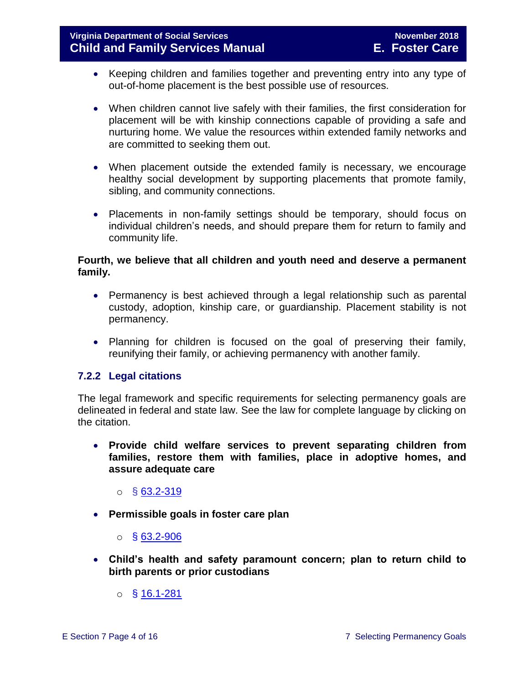- Keeping children and families together and preventing entry into any type of out-of-home placement is the best possible use of resources.
- When children cannot live safely with their families, the first consideration for placement will be with kinship connections capable of providing a safe and nurturing home. We value the resources within extended family networks and are committed to seeking them out.
- When placement outside the extended family is necessary, we encourage healthy social development by supporting placements that promote family, sibling, and community connections.
- Placements in non-family settings should be temporary, should focus on individual children's needs, and should prepare them for return to family and community life.

#### **Fourth, we believe that all children and youth need and deserve a permanent family.**

- Permanency is best achieved through a legal relationship such as parental custody, adoption, kinship care, or guardianship. Placement stability is not permanency.
- Planning for children is focused on the goal of preserving their family, reunifying their family, or achieving permanency with another family.

#### <span id="page-3-0"></span>**7.2.2 Legal citations**

The legal framework and specific requirements for selecting permanency goals are delineated in federal and state law. See the law for complete language by clicking on the citation.

- **Provide child welfare services to prevent separating children from families, restore them with families, place in adoptive homes, and assure adequate care**
	- $\circ$  § [63.2-319](http://law.lis.virginia.gov/vacode/63.2-319/)
- **Permissible goals in foster care plan** 
	- $\circ$  § [63.2-906](http://law.lis.virginia.gov/vacode/63.2-906/)
- **Child's health and safety paramount concern; plan to return child to birth parents or prior custodians**
	- o § [16.1-281](http://law.lis.virginia.gov/vacode/16.1-281/)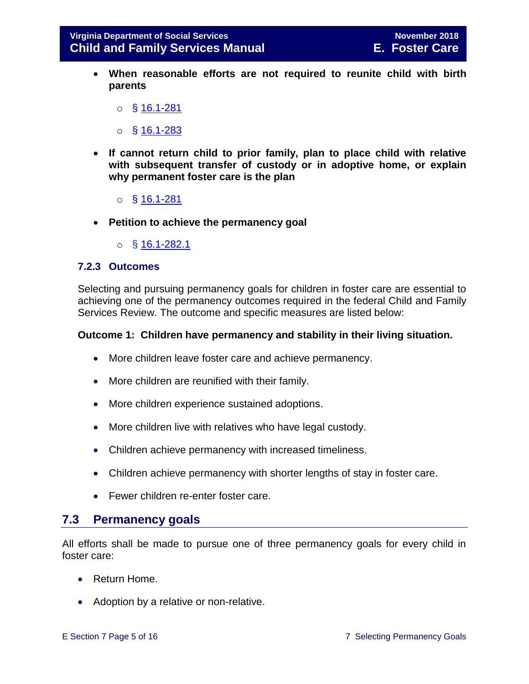- **When reasonable efforts are not required to reunite child with birth parents** 
	- $\circ$  § [16.1-281](http://law.lis.virginia.gov/vacode/16.1-281/)
	- $\circ$  § [16.1-283](http://law.lis.virginia.gov/vacode/16.1-283/)
- **If cannot return child to prior family, plan to place child with relative with subsequent transfer of custody or in adoptive home, or explain why permanent foster care is the plan** 
	- o § [16.1-281](http://law.lis.virginia.gov/vacode/16.1-281/)
- **Petition to achieve the permanency goal** 
	- o § [16.1-282.1](http://law.lis.virginia.gov/vacode/16.1-282.1/)

#### <span id="page-4-0"></span>**7.2.3 Outcomes**

Selecting and pursuing permanency goals for children in foster care are essential to achieving one of the permanency outcomes required in the federal Child and Family Services Review. The outcome and specific measures are listed below:

#### **Outcome 1: Children have permanency and stability in their living situation.**

- More children leave foster care and achieve permanency.
- More children are reunified with their family.
- More children experience sustained adoptions.
- More children live with relatives who have legal custody.
- Children achieve permanency with increased timeliness.
- Children achieve permanency with shorter lengths of stay in foster care.
- **•** Fewer children re-enter foster care.

#### <span id="page-4-1"></span>**7.3 Permanency goals**

All efforts shall be made to pursue one of three permanency goals for every child in foster care:

- Return Home.
- Adoption by a relative or non-relative.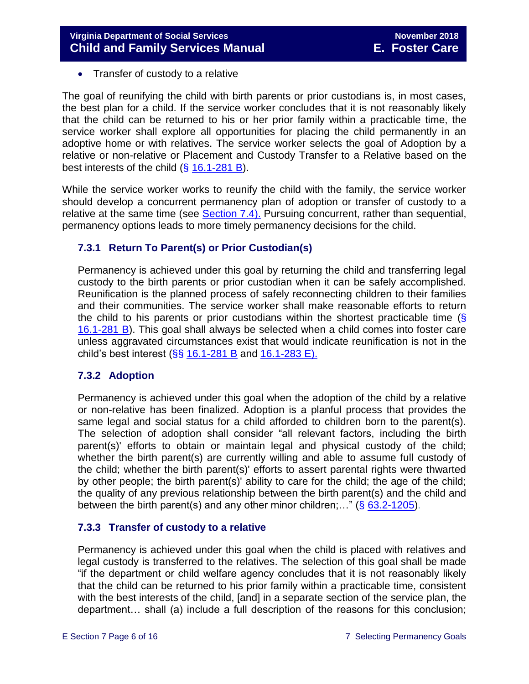• Transfer of custody to a relative

The goal of reunifying the child with birth parents or prior custodians is, in most cases, the best plan for a child. If the service worker concludes that it is not reasonably likely that the child can be returned to his or her prior family within a practicable time, the service worker shall explore all opportunities for placing the child permanently in an adoptive home or with relatives. The service worker selects the goal of Adoption by a relative or non-relative or Placement and Custody Transfer to a Relative based on the best interests of the child (§ [16.1-281 B\)](http://law.lis.virginia.gov/vacode/title16.1/chapter11/section16.1-282/).

While the service worker works to reunify the child with the family, the service worker should develop a concurrent permanency plan of adoption or transfer of custody to a relative at the same time (see [Section 7.4\).](#page-6-0) Pursuing concurrent, rather than sequential, permanency options leads to more timely permanency decisions for the child.

#### <span id="page-5-0"></span>**7.3.1 Return To Parent(s) or Prior Custodian(s)**

Permanency is achieved under this goal by returning the child and transferring legal custody to the birth parents or prior custodian when it can be safely accomplished. Reunification is the planned process of safely reconnecting children to their families and their communities. The service worker shall make reasonable efforts to return the child to his parents or prior custodians within the shortest practicable time  $\langle \xi \rangle$ [16.1-281 B\)](http://law.lis.virginia.gov/vacode/16.1-281/). This goal shall always be selected when a child comes into foster care unless aggravated circumstances exist that would indicate reunification is not in the child's best interest ( $\S$ § [16.1-281 B](http://law.lis.virginia.gov/vacode/16.1-281/) and [16.1-283 E\).](http://law.lis.virginia.gov/vacode/16.1-283/)

#### <span id="page-5-1"></span>**7.3.2 Adoption**

Permanency is achieved under this goal when the adoption of the child by a relative or non-relative has been finalized. Adoption is a planful process that provides the same legal and social status for a child afforded to children born to the parent(s). The selection of adoption shall consider "all relevant factors, including the birth parent(s)' efforts to obtain or maintain legal and physical custody of the child; whether the birth parent(s) are currently willing and able to assume full custody of the child; whether the birth parent(s)' efforts to assert parental rights were thwarted by other people; the birth parent(s)' ability to care for the child; the age of the child; the quality of any previous relationship between the birth parent(s) and the child and between the birth parent(s) and any other minor children;..." ( $\S$  [63.2-1205\)](http://law.lis.virginia.gov/vacode/63.2-1205/).

#### <span id="page-5-2"></span>**7.3.3 Transfer of custody to a relative**

Permanency is achieved under this goal when the child is placed with relatives and legal custody is transferred to the relatives. The selection of this goal shall be made "if the department or child welfare agency concludes that it is not reasonably likely that the child can be returned to his prior family within a practicable time, consistent with the best interests of the child, [and] in a separate section of the service plan, the department… shall (a) include a full description of the reasons for this conclusion;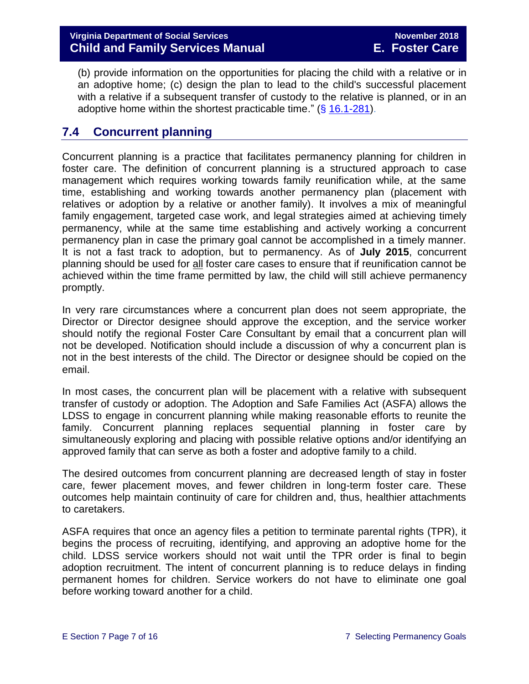(b) provide information on the opportunities for placing the child with a relative or in an adoptive home; (c) design the plan to lead to the child's successful placement with a relative if a subsequent transfer of custody to the relative is planned, or in an adoptive home within the shortest practicable time."  $(\S 16.1-281)$  $(\S 16.1-281)$ .

## <span id="page-6-0"></span>**7.4 Concurrent planning**

Concurrent planning is a practice that facilitates permanency planning for children in foster care. The definition of concurrent planning is a structured approach to case management which requires working towards family reunification while, at the same time, establishing and working towards another permanency plan (placement with relatives or adoption by a relative or another family). It involves a mix of meaningful family engagement, targeted case work, and legal strategies aimed at achieving timely permanency, while at the same time establishing and actively working a concurrent permanency plan in case the primary goal cannot be accomplished in a timely manner. It is not a fast track to adoption, but to permanency. As of **July 2015**, concurrent planning should be used for all foster care cases to ensure that if reunification cannot be achieved within the time frame permitted by law, the child will still achieve permanency promptly.

In very rare circumstances where a concurrent plan does not seem appropriate, the Director or Director designee should approve the exception, and the service worker should notify the regional Foster Care Consultant by email that a concurrent plan will not be developed. Notification should include a discussion of why a concurrent plan is not in the best interests of the child. The Director or designee should be copied on the email.

In most cases, the concurrent plan will be placement with a relative with subsequent transfer of custody or adoption. The Adoption and Safe Families Act (ASFA) allows the LDSS to engage in concurrent planning while making reasonable efforts to reunite the family. Concurrent planning replaces sequential planning in foster care by simultaneously exploring and placing with possible relative options and/or identifying an approved family that can serve as both a foster and adoptive family to a child.

The desired outcomes from concurrent planning are decreased length of stay in foster care, fewer placement moves, and fewer children in long-term foster care. These outcomes help maintain continuity of care for children and, thus, healthier attachments to caretakers.

ASFA requires that once an agency files a petition to terminate parental rights (TPR), it begins the process of recruiting, identifying, and approving an adoptive home for the child. LDSS service workers should not wait until the TPR order is final to begin adoption recruitment. The intent of concurrent planning is to reduce delays in finding permanent homes for children. Service workers do not have to eliminate one goal before working toward another for a child.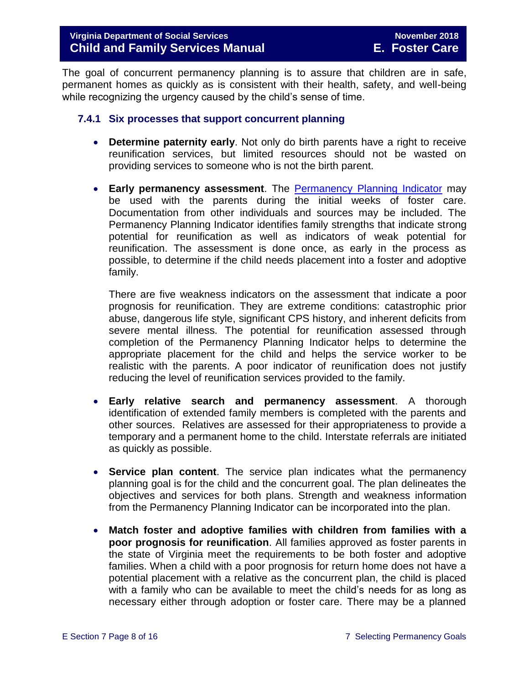The goal of concurrent permanency planning is to assure that children are in safe, permanent homes as quickly as is consistent with their health, safety, and well-being while recognizing the urgency caused by the child's sense of time.

#### <span id="page-7-0"></span>**7.4.1 Six processes that support concurrent planning**

- **Determine paternity early**. Not only do birth parents have a right to receive reunification services, but limited resources should not be wasted on providing services to someone who is not the birth parent.
- **Early permanency assessment**. The Permanency [Planning Indicator](http://spark.dss.virginia.gov/divisions/dfs/fc/forms.cgi) may be used with the parents during the initial weeks of foster care. Documentation from other individuals and sources may be included. The Permanency Planning Indicator identifies family strengths that indicate strong potential for reunification as well as indicators of weak potential for reunification. The assessment is done once, as early in the process as possible, to determine if the child needs placement into a foster and adoptive family.

There are five weakness indicators on the assessment that indicate a poor prognosis for reunification. They are extreme conditions: catastrophic prior abuse, dangerous life style, significant CPS history, and inherent deficits from severe mental illness. The potential for reunification assessed through completion of the Permanency Planning Indicator helps to determine the appropriate placement for the child and helps the service worker to be realistic with the parents. A poor indicator of reunification does not justify reducing the level of reunification services provided to the family.

- **Early relative search and permanency assessment**. A thorough identification of extended family members is completed with the parents and other sources. Relatives are assessed for their appropriateness to provide a temporary and a permanent home to the child. Interstate referrals are initiated as quickly as possible.
- **Service plan content**. The service plan indicates what the permanency planning goal is for the child and the concurrent goal. The plan delineates the objectives and services for both plans. Strength and weakness information from the Permanency Planning Indicator can be incorporated into the plan.
- **Match foster and adoptive families with children from families with a poor prognosis for reunification**. All families approved as foster parents in the state of Virginia meet the requirements to be both foster and adoptive families. When a child with a poor prognosis for return home does not have a potential placement with a relative as the concurrent plan, the child is placed with a family who can be available to meet the child's needs for as long as necessary either through adoption or foster care. There may be a planned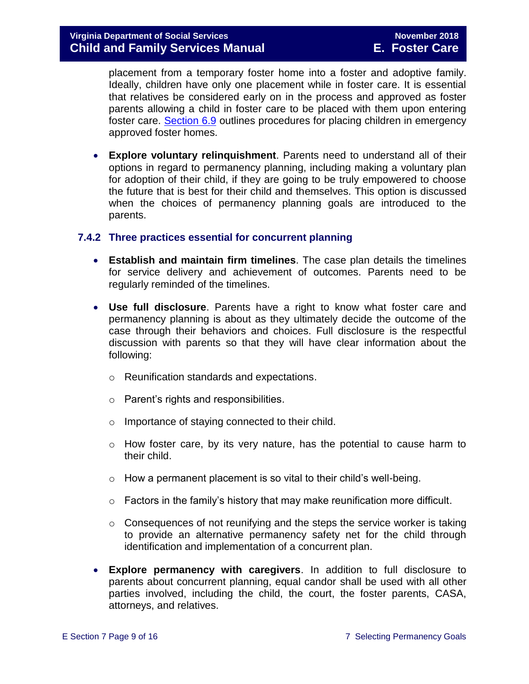placement from a temporary foster home into a foster and adoptive family. Ideally, children have only one placement while in foster care. It is essential that relatives be considered early on in the process and approved as foster parents allowing a child in foster care to be placed with them upon entering foster care. [Section 6.9](file://///Vaultcelerra.co.dss.state.va.us/Workgroup/Family_Services/DFS%20Child%20and%20Family%20Services%20Manual/E.%20Foster%20Care/Foster%20Care%20June%202017/section_6_placement_to_achieve_permanency.draft.docx) outlines procedures for placing children in emergency approved foster homes.

 **Explore voluntary relinquishment**. Parents need to understand all of their options in regard to permanency planning, including making a voluntary plan for adoption of their child, if they are going to be truly empowered to choose the future that is best for their child and themselves. This option is discussed when the choices of permanency planning goals are introduced to the parents.

#### <span id="page-8-0"></span>**7.4.2 Three practices essential for concurrent planning**

- **Establish and maintain firm timelines**. The case plan details the timelines for service delivery and achievement of outcomes. Parents need to be regularly reminded of the timelines.
- **Use full disclosure**. Parents have a right to know what foster care and permanency planning is about as they ultimately decide the outcome of the case through their behaviors and choices. Full disclosure is the respectful discussion with parents so that they will have clear information about the following:
	- o Reunification standards and expectations.
	- o Parent's rights and responsibilities.
	- o Importance of staying connected to their child.
	- $\circ$  How foster care, by its very nature, has the potential to cause harm to their child.
	- $\circ$  How a permanent placement is so vital to their child's well-being.
	- $\circ$  Factors in the family's history that may make reunification more difficult.
	- $\circ$  Consequences of not reunifying and the steps the service worker is taking to provide an alternative permanency safety net for the child through identification and implementation of a concurrent plan.
- **Explore permanency with caregivers**. In addition to full disclosure to parents about concurrent planning, equal candor shall be used with all other parties involved, including the child, the court, the foster parents, CASA, attorneys, and relatives.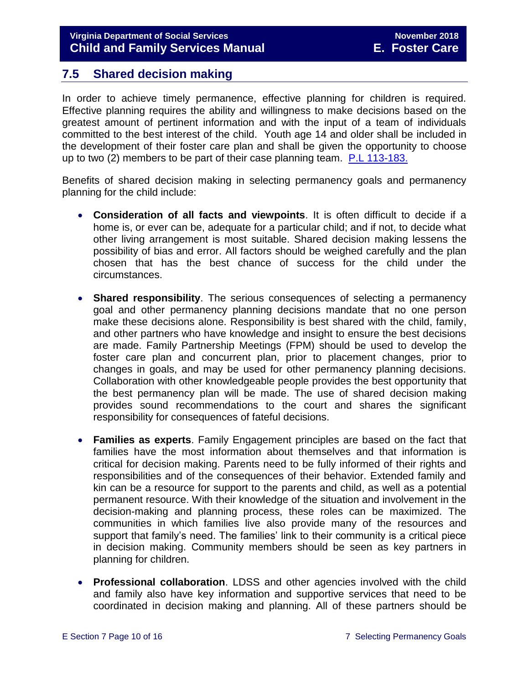## <span id="page-9-0"></span>**7.5 Shared decision making**

In order to achieve timely permanence, effective planning for children is required. Effective planning requires the ability and willingness to make decisions based on the greatest amount of pertinent information and with the input of a team of individuals committed to the best interest of the child. Youth age 14 and older shall be included in the development of their foster care plan and shall be given the opportunity to choose up to two (2) members to be part of their case planning team. [P.L 113-183.](https://www.congress.gov/113/plaws/publ183/PLAW-113publ183.pdf)

Benefits of shared decision making in selecting permanency goals and permanency planning for the child include:

- **Consideration of all facts and viewpoints**. It is often difficult to decide if a home is, or ever can be, adequate for a particular child; and if not, to decide what other living arrangement is most suitable. Shared decision making lessens the possibility of bias and error. All factors should be weighed carefully and the plan chosen that has the best chance of success for the child under the circumstances.
- **Shared responsibility**. The serious consequences of selecting a permanency goal and other permanency planning decisions mandate that no one person make these decisions alone. Responsibility is best shared with the child, family, and other partners who have knowledge and insight to ensure the best decisions are made. Family Partnership Meetings (FPM) should be used to develop the foster care plan and concurrent plan, prior to placement changes, prior to changes in goals, and may be used for other permanency planning decisions. Collaboration with other knowledgeable people provides the best opportunity that the best permanency plan will be made. The use of shared decision making provides sound recommendations to the court and shares the significant responsibility for consequences of fateful decisions.
- **Families as experts**. Family Engagement principles are based on the fact that families have the most information about themselves and that information is critical for decision making. Parents need to be fully informed of their rights and responsibilities and of the consequences of their behavior. Extended family and kin can be a resource for support to the parents and child, as well as a potential permanent resource. With their knowledge of the situation and involvement in the decision-making and planning process, these roles can be maximized. The communities in which families live also provide many of the resources and support that family's need. The families' link to their community is a critical piece in decision making. Community members should be seen as key partners in planning for children.
- **Professional collaboration**. LDSS and other agencies involved with the child and family also have key information and supportive services that need to be coordinated in decision making and planning. All of these partners should be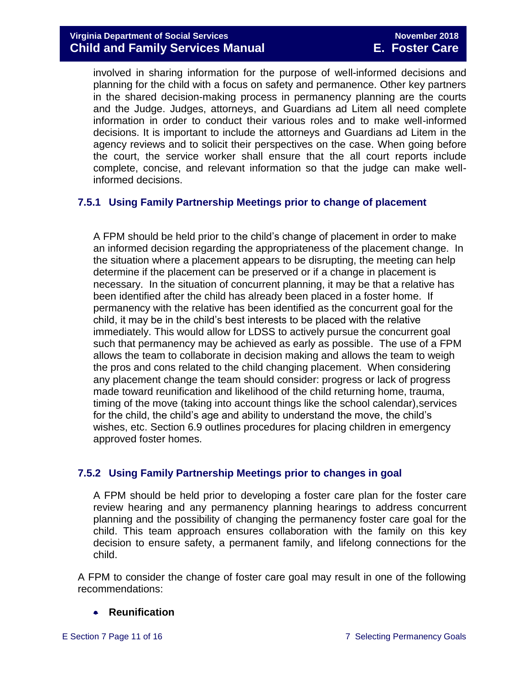involved in sharing information for the purpose of well-informed decisions and planning for the child with a focus on safety and permanence. Other key partners in the shared decision-making process in permanency planning are the courts and the Judge. Judges, attorneys, and Guardians ad Litem all need complete information in order to conduct their various roles and to make well-informed decisions. It is important to include the attorneys and Guardians ad Litem in the agency reviews and to solicit their perspectives on the case. When going before the court, the service worker shall ensure that the all court reports include complete, concise, and relevant information so that the judge can make wellinformed decisions.

#### <span id="page-10-0"></span>**7.5.1 Using Family Partnership Meetings prior to change of placement**

A FPM should be held prior to the child's change of placement in order to make an informed decision regarding the appropriateness of the placement change. In the situation where a placement appears to be disrupting, the meeting can help determine if the placement can be preserved or if a change in placement is necessary. In the situation of concurrent planning, it may be that a relative has been identified after the child has already been placed in a foster home. If permanency with the relative has been identified as the concurrent goal for the child, it may be in the child's best interests to be placed with the relative immediately. This would allow for LDSS to actively pursue the concurrent goal such that permanency may be achieved as early as possible. The use of a FPM allows the team to collaborate in decision making and allows the team to weigh the pros and cons related to the child changing placement. When considering any placement change the team should consider: progress or lack of progress made toward reunification and likelihood of the child returning home, trauma, timing of the move (taking into account things like the school calendar),services for the child, the child's age and ability to understand the move, the child's wishes, etc. Section 6.9 outlines procedures for placing children in emergency approved foster homes.

#### <span id="page-10-1"></span>**7.5.2 Using Family Partnership Meetings prior to changes in goal**

A FPM should be held prior to developing a foster care plan for the foster care review hearing and any permanency planning hearings to address concurrent planning and the possibility of changing the permanency foster care goal for the child. This team approach ensures collaboration with the family on this key decision to ensure safety, a permanent family, and lifelong connections for the child.

A FPM to consider the change of foster care goal may result in one of the following recommendations:

#### **•** Reunification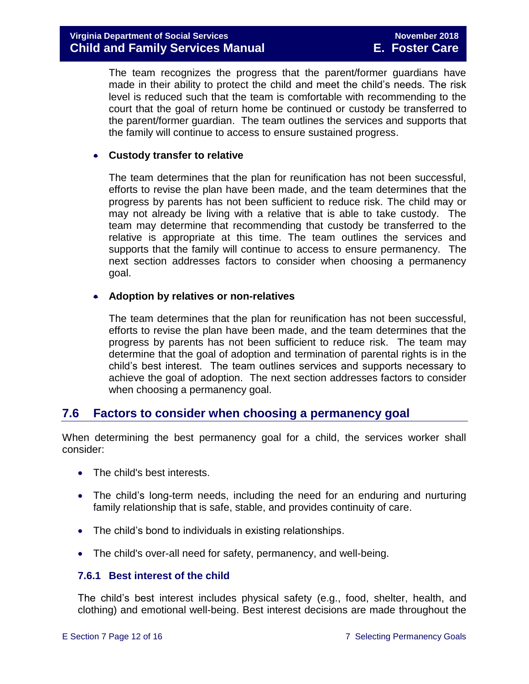The team recognizes the progress that the parent/former guardians have made in their ability to protect the child and meet the child's needs. The risk level is reduced such that the team is comfortable with recommending to the court that the goal of return home be continued or custody be transferred to the parent/former guardian. The team outlines the services and supports that the family will continue to access to ensure sustained progress.

#### **Custody transfer to relative**

The team determines that the plan for reunification has not been successful, efforts to revise the plan have been made, and the team determines that the progress by parents has not been sufficient to reduce risk. The child may or may not already be living with a relative that is able to take custody. The team may determine that recommending that custody be transferred to the relative is appropriate at this time. The team outlines the services and supports that the family will continue to access to ensure permanency. The next section addresses factors to consider when choosing a permanency goal.

#### **Adoption by relatives or non-relatives**

The team determines that the plan for reunification has not been successful, efforts to revise the plan have been made, and the team determines that the progress by parents has not been sufficient to reduce risk. The team may determine that the goal of adoption and termination of parental rights is in the child's best interest. The team outlines services and supports necessary to achieve the goal of adoption. The next section addresses factors to consider when choosing a permanency goal.

## <span id="page-11-0"></span>**7.6 Factors to consider when choosing a permanency goal**

When determining the best permanency goal for a child, the services worker shall consider:

- The child's best interests.
- The child's long-term needs, including the need for an enduring and nurturing family relationship that is safe, stable, and provides continuity of care.
- The child's bond to individuals in existing relationships.
- The child's over-all need for safety, permanency, and well-being.

#### <span id="page-11-1"></span>**7.6.1 Best interest of the child**

The child's best interest includes physical safety (e.g., food, shelter, health, and clothing) and emotional well-being. Best interest decisions are made throughout the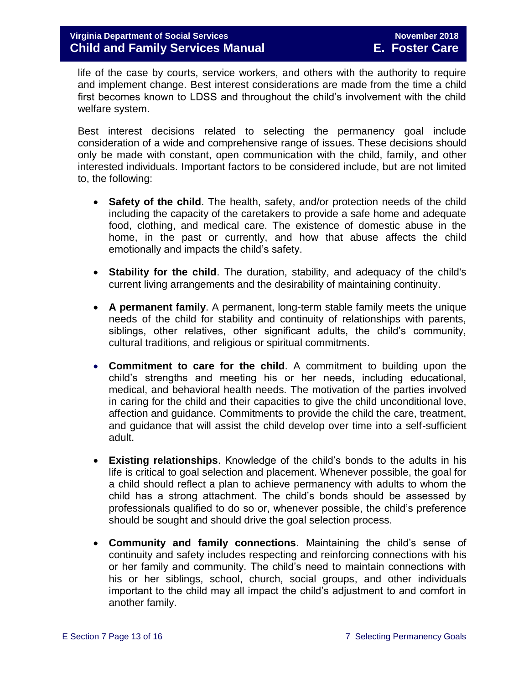life of the case by courts, service workers, and others with the authority to require and implement change. Best interest considerations are made from the time a child first becomes known to LDSS and throughout the child's involvement with the child welfare system.

Best interest decisions related to selecting the permanency goal include consideration of a wide and comprehensive range of issues. These decisions should only be made with constant, open communication with the child, family, and other interested individuals. Important factors to be considered include, but are not limited to, the following:

- **Safety of the child**. The health, safety, and/or protection needs of the child including the capacity of the caretakers to provide a safe home and adequate food, clothing, and medical care. The existence of domestic abuse in the home, in the past or currently, and how that abuse affects the child emotionally and impacts the child's safety.
- **Stability for the child**. The duration, stability, and adequacy of the child's current living arrangements and the desirability of maintaining continuity.
- **A permanent family**. A permanent, long-term stable family meets the unique needs of the child for stability and continuity of relationships with parents, siblings, other relatives, other significant adults, the child's community, cultural traditions, and religious or spiritual commitments.
- **Commitment to care for the child**. A commitment to building upon the child's strengths and meeting his or her needs, including educational, medical, and behavioral health needs. The motivation of the parties involved in caring for the child and their capacities to give the child unconditional love, affection and guidance. Commitments to provide the child the care, treatment, and guidance that will assist the child develop over time into a self-sufficient adult.
- **Existing relationships**. Knowledge of the child's bonds to the adults in his life is critical to goal selection and placement. Whenever possible, the goal for a child should reflect a plan to achieve permanency with adults to whom the child has a strong attachment. The child's bonds should be assessed by professionals qualified to do so or, whenever possible, the child's preference should be sought and should drive the goal selection process.
- **Community and family connections**. Maintaining the child's sense of continuity and safety includes respecting and reinforcing connections with his or her family and community. The child's need to maintain connections with his or her siblings, school, church, social groups, and other individuals important to the child may all impact the child's adjustment to and comfort in another family.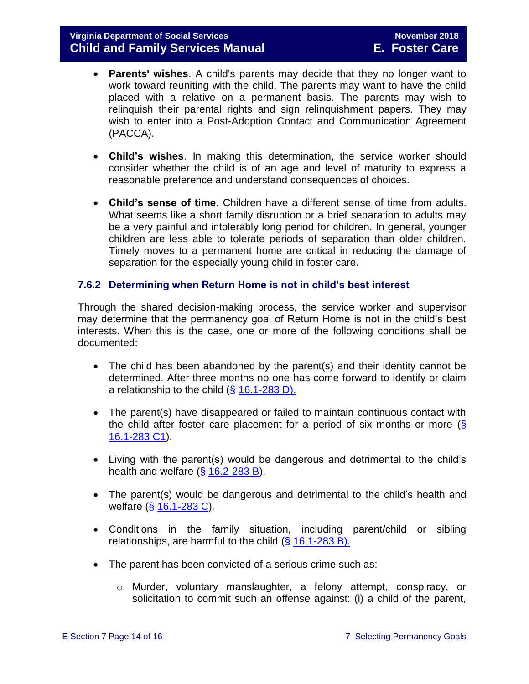- **Parents' wishes**. A child's parents may decide that they no longer want to work toward reuniting with the child. The parents may want to have the child placed with a relative on a permanent basis. The parents may wish to relinquish their parental rights and sign relinquishment papers. They may wish to enter into a Post-Adoption Contact and Communication Agreement (PACCA).
- **Child's wishes**. In making this determination, the service worker should consider whether the child is of an age and level of maturity to express a reasonable preference and understand consequences of choices.
- **Child's sense of time**. Children have a different sense of time from adults. What seems like a short family disruption or a brief separation to adults may be a very painful and intolerably long period for children. In general, younger children are less able to tolerate periods of separation than older children. Timely moves to a permanent home are critical in reducing the damage of separation for the especially young child in foster care.

#### <span id="page-13-0"></span>**7.6.2 Determining when Return Home is not in child's best interest**

Through the shared decision-making process, the service worker and supervisor may determine that the permanency goal of Return Home is not in the child's best interests. When this is the case, one or more of the following conditions shall be documented:

- The child has been abandoned by the parent(s) and their identity cannot be determined. After three months no one has come forward to identify or claim a relationship to the child  $(\S 16.1-283 D)$ .
- The parent(s) have disappeared or failed to maintain continuous contact with the child after foster care placement for a period of six months or more  $(\S$ [16.1-283 C1\)](http://law.lis.virginia.gov/vacode/16.1-283/).
- Living with the parent(s) would be dangerous and detrimental to the child's health and welfare  $(\S 16.2 - 283 B)$ .
- The parent(s) would be dangerous and detrimental to the child's health and welfare (§ [16.1-283 C\)](http://law.lis.virginia.gov/vacode/16.1-283/).
- Conditions in the family situation, including parent/child or sibling relationships, are harmful to the child  $( $\S$  16.1-283 B).$  $( $\S$  16.1-283 B).$
- The parent has been convicted of a serious crime such as:
	- o Murder, voluntary manslaughter, a felony attempt, conspiracy, or solicitation to commit such an offense against: (i) a child of the parent,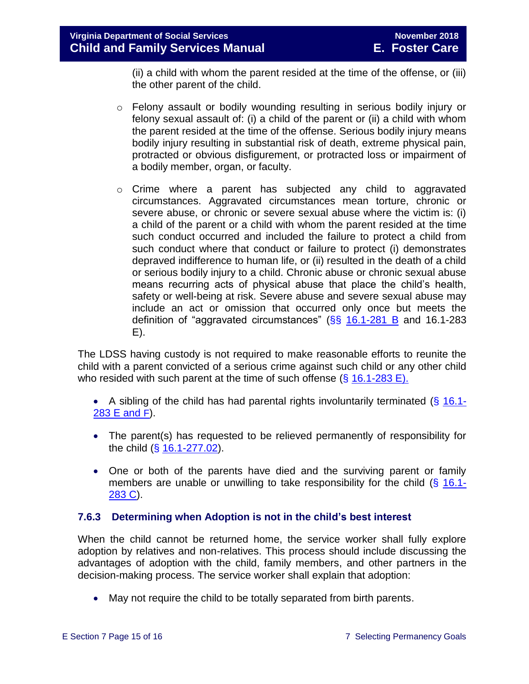(ii) a child with whom the parent resided at the time of the offense, or (iii) the other parent of the child.

- o Felony assault or bodily wounding resulting in serious bodily injury or felony sexual assault of: (i) a child of the parent or (ii) a child with whom the parent resided at the time of the offense. Serious bodily injury means bodily injury resulting in substantial risk of death, extreme physical pain, protracted or obvious disfigurement, or protracted loss or impairment of a bodily member, organ, or faculty.
- o Crime where a parent has subjected any child to aggravated circumstances. Aggravated circumstances mean torture, chronic or severe abuse, or chronic or severe sexual abuse where the victim is: (i) a child of the parent or a child with whom the parent resided at the time such conduct occurred and included the failure to protect a child from such conduct where that conduct or failure to protect (i) demonstrates depraved indifference to human life, or (ii) resulted in the death of a child or serious bodily injury to a child. Chronic abuse or chronic sexual abuse means recurring acts of physical abuse that place the child's health, safety or well-being at risk. Severe abuse and severe sexual abuse may include an act or omission that occurred only once but meets the definition of "aggravated circumstances" ( $\S$ § [16.1-281 B](http://law.lis.virginia.gov/vacode/16.1-281/) and 16.1-283 E).

The LDSS having custody is not required to make reasonable efforts to reunite the child with a parent convicted of a serious crime against such child or any other child who resided with such parent at the time of such offense  $(\S 16.1-283 \text{ E})$ .

A sibling of the child has had parental rights involuntarily terminated  $(\S$  [16.1-](http://law.lis.virginia.gov/vacode/16.1-283/) [283 E and](http://law.lis.virginia.gov/vacode/16.1-283/) F).

- The parent(s) has requested to be relieved permanently of responsibility for the child (§ [16.1-277.02\)](http://law.lis.virginia.gov/vacode/16.1-277.02/).
- One or both of the parents have died and the surviving parent or family members are unable or unwilling to take responsibility for the child (§ [16.1-](http://law.lis.virginia.gov/vacode/16.1-283/) [283 C\)](http://law.lis.virginia.gov/vacode/16.1-283/).

#### <span id="page-14-0"></span>**7.6.3 Determining when Adoption is not in the child's best interest**

When the child cannot be returned home, the service worker shall fully explore adoption by relatives and non-relatives. This process should include discussing the advantages of adoption with the child, family members, and other partners in the decision-making process. The service worker shall explain that adoption:

• May not require the child to be totally separated from birth parents.